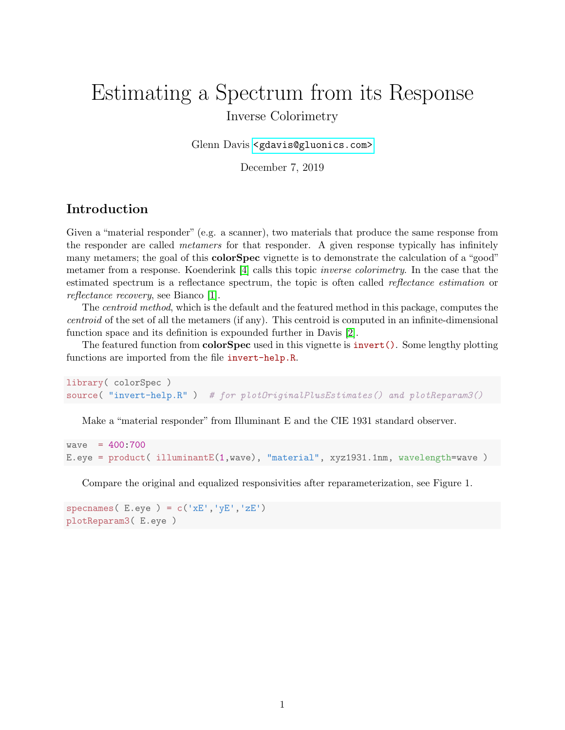# Estimating a Spectrum from its Response Inverse Colorimetry

Glenn Davis [<gdavis@gluonics.com>]( <gdavis@gluonics.com>)

December 7, 2019

### Introduction

Given a "material responder" (e.g. a scanner), two materials that produce the same response from the responder are called metamers for that responder. A given response typically has infinitely many metamers; the goal of this **colorSpec** vignette is to demonstrate the calculation of a "good" metamer from a response. Koenderink [\[4\]](#page-10-0) calls this topic inverse colorimetry. In the case that the estimated spectrum is a reflectance spectrum, the topic is often called reflectance estimation or reflectance recovery, see Bianco [\[1\]](#page-10-1).

The centroid method, which is the default and the featured method in this package, computes the centroid of the set of all the metamers (if any). This centroid is computed in an infinite-dimensional function space and its definition is expounded further in Davis [\[2\]](#page-10-2).

The featured function from **colorSpec** used in this vignette is **invert**(). Some lengthy plotting functions are imported from the file invert-help.R.

```
library( colorSpec )
source( "invert-help.R" ) # for plotOriginalPlusEstimates() and plotReparam3()
```
Make a "material responder" from Illuminant E and the CIE 1931 standard observer.

```
wave = 400:700E.eye = product( illuminantE(1,wave), "material", xyz1931.1nm, wavelength=wave )
```
Compare the original and equalized responsivities after reparameterization, see Figure 1.

specnames( $E.\text{eye}$ ) =  $c('xE', 'yE', 'zE')$ plotReparam3( E.eye )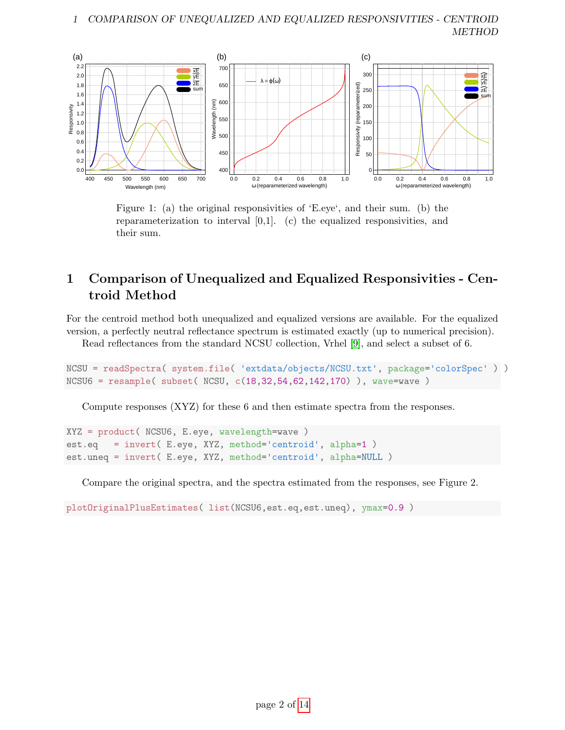

Figure 1: (a) the original responsivities of 'E.eye', and their sum. (b) the reparameterization to interval [0,1]. (c) the equalized responsivities, and their sum.

# 1 Comparison of Unequalized and Equalized Responsivities - Centroid Method

For the centroid method both unequalized and equalized versions are available. For the equalized version, a perfectly neutral reflectance spectrum is estimated exactly (up to numerical precision).

Read reflectances from the standard NCSU collection, Vrhel [\[9\]](#page-11-0), and select a subset of 6.

```
NCSU = readSpectra( system.file( 'extdata/objects/NCSU.txt', package='colorSpec' ) )
NCSU6 = resample( subset( NCSU, c(18,32,54,62,142,170) ), wave=wave )
```
Compute responses (XYZ) for these 6 and then estimate spectra from the responses.

```
XYZ = product( NCSU6, E.eye, wavelength=wave )
est.eq = invert( E.eye, XYZ, method='centroid', alpha=1 )
est.uneq = invert( E.eye, XYZ, method='centroid', alpha=NULL )
```
Compare the original spectra, and the spectra estimated from the responses, see Figure 2.

plotOriginalPlusEstimates( list(NCSU6,est.eq,est.uneq), ymax=0.9 )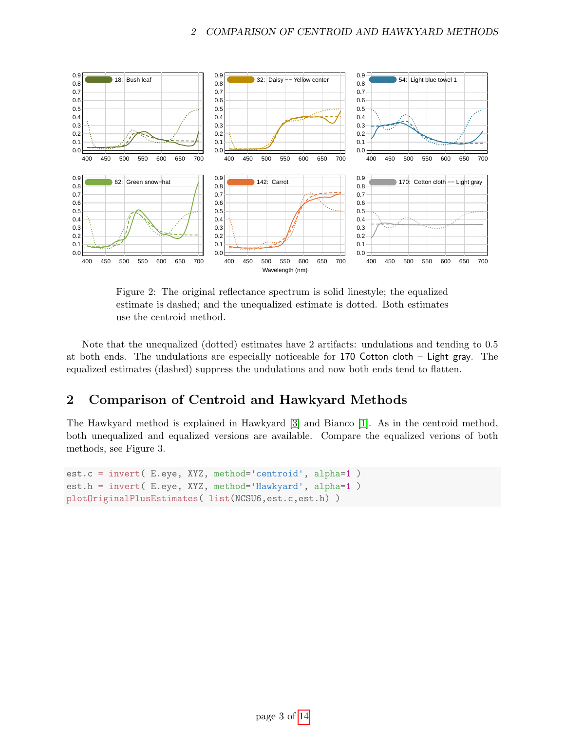

Figure 2: The original reflectance spectrum is solid linestyle; the equalized estimate is dashed; and the unequalized estimate is dotted. Both estimates use the centroid method.

Note that the unequalized (dotted) estimates have 2 artifacts: undulations and tending to 0.5 at both ends. The undulations are especially noticeable for 170 Cotton cloth – Light gray. The equalized estimates (dashed) suppress the undulations and now both ends tend to flatten.

## 2 Comparison of Centroid and Hawkyard Methods

The Hawkyard method is explained in Hawkyard [\[3\]](#page-10-3) and Bianco [\[1\]](#page-10-1). As in the centroid method, both unequalized and equalized versions are available. Compare the equalized verions of both methods, see Figure 3.

```
est.c = invert( E.eye, XYZ, method='centroid', alpha=1 )
est.h = invert( E.eye, XYZ, method='Hawkyard', alpha=1 )
plotOriginalPlusEstimates( list(NCSU6,est.c,est.h) )
```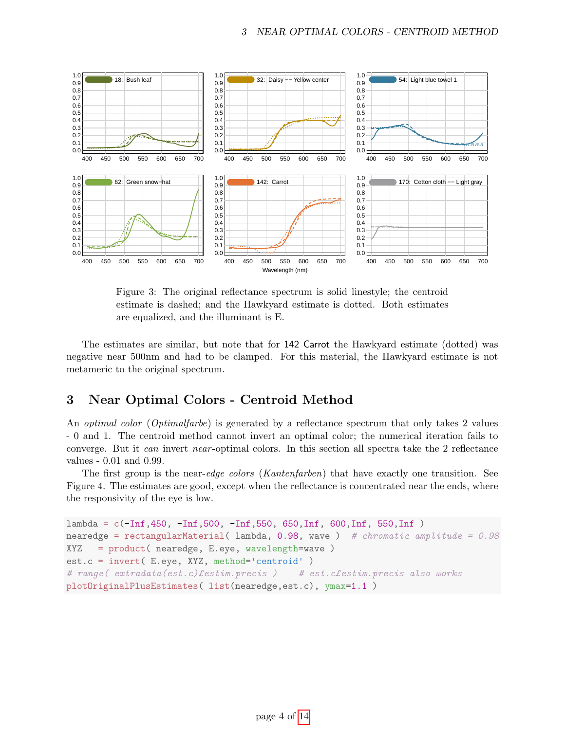

Figure 3: The original reflectance spectrum is solid linestyle; the centroid estimate is dashed; and the Hawkyard estimate is dotted. Both estimates are equalized, and the illuminant is E.

The estimates are similar, but note that for 142 Carrot the Hawkyard estimate (dotted) was negative near 500nm and had to be clamped. For this material, the Hawkyard estimate is not metameric to the original spectrum.

### 3 Near Optimal Colors - Centroid Method

An *optimal color* (*Optimalfarbe*) is generated by a reflectance spectrum that only takes 2 values - 0 and 1. The centroid method cannot invert an optimal color; the numerical iteration fails to converge. But it can invert near -optimal colors. In this section all spectra take the 2 reflectance values - 0.01 and 0.99.

The first group is the near-edge colors (Kantenfarben) that have exactly one transition. See Figure 4. The estimates are good, except when the reflectance is concentrated near the ends, where the responsivity of the eye is low.

```
lambda = c(-Inf,450, -Inf,500, -Inf,550, 650,Inf, 600,Inf, 550,Inf )
nearedge = rectangularMaterial( lambda, 0.98, wave ) # chromatic amplitude = 0.98
XYZ = product( nearedge, E.eye, wavelength=wave )
est.c = invert( E.eye, XYZ, method='centroid' )
# range( extradata(est.c)festim.precis ) # est.cfestim.precis also works
plotOriginalPlusEstimates( list(nearedge,est.c), ymax=1.1 )
```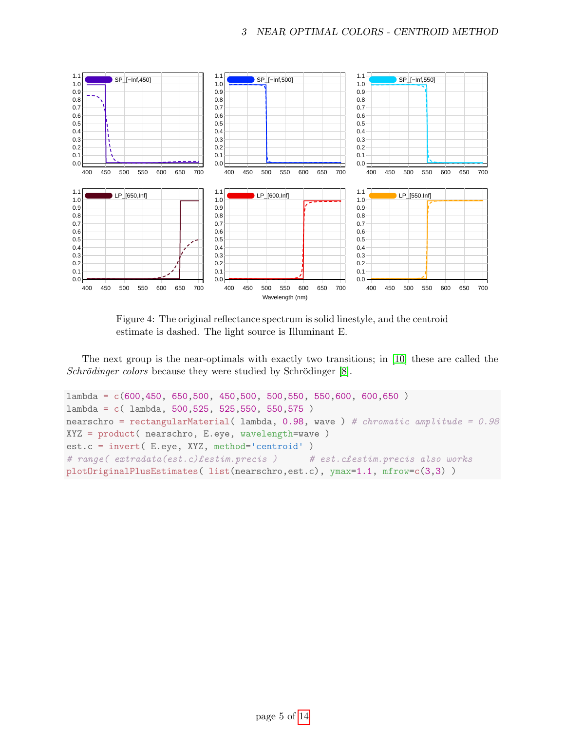

Figure 4: The original reflectance spectrum is solid linestyle, and the centroid estimate is dashed. The light source is Illuminant E.

The next group is the near-optimals with exactly two transitions; in [\[10\]](#page-11-1) these are called the Schrödinger colors because they were studied by Schrödinger  $[8]$ .

```
lambda = c(600, 450, 650, 500, 450, 500, 500, 550, 550, 600, 600, 650)lambda = c( lambda, 500,525, 525,550, 550,575 )
nearschro = rectangularMaterial( lambda, 0.98, wave ) # chromatic amplitude = 0.98
XYZ = product( nearschro, E.eye, wavelength=wave )
est.c = invert( E.eye, XYZ, method='centroid' )
# range( extradata(est.c)£estim.precis ) # est.c£estim.precis also works
plotOriginalPlusEstimates( list(nearschro,est.c), ymax=1.1, mfrow=c(3,3) )
```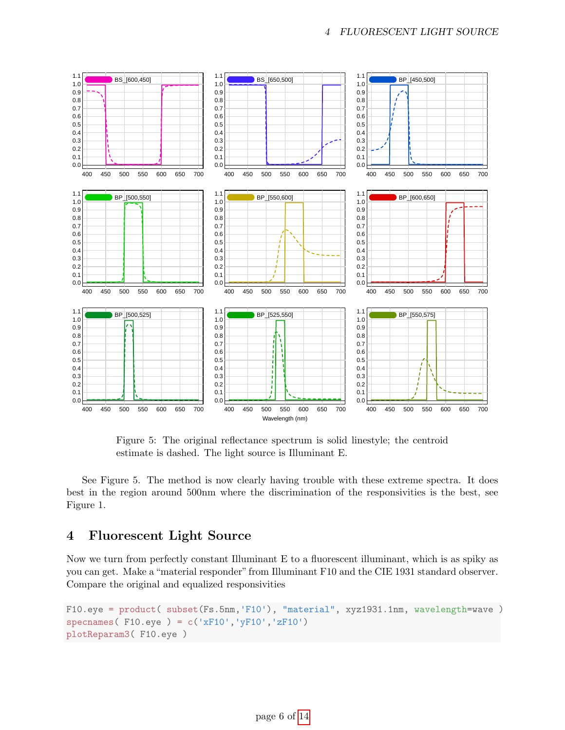

Figure 5: The original reflectance spectrum is solid linestyle; the centroid estimate is dashed. The light source is Illuminant E.

See Figure 5. The method is now clearly having trouble with these extreme spectra. It does best in the region around 500nm where the discrimination of the responsivities is the best, see Figure 1.

#### 4 Fluorescent Light Source

Now we turn from perfectly constant Illuminant E to a fluorescent illuminant, which is as spiky as you can get. Make a "material responder" from Illuminant F10 and the CIE 1931 standard observer. Compare the original and equalized responsivities

```
F10.eye = product( subset(Fs.5nm,'F10'), "material", xyz1931.1nm, wavelength=wave )
specnames(F10.\text{eye}) = c('xF10','yF10','zF10')
plotReparam3( F10.eye )
```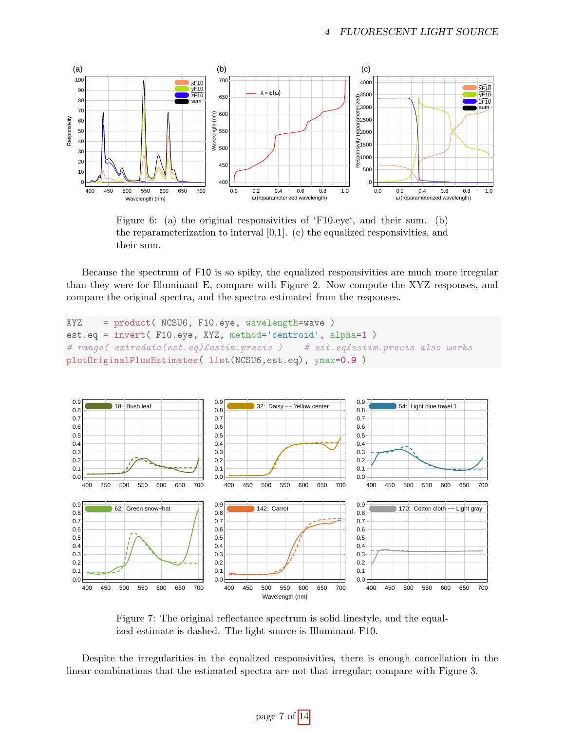

Figure 6: (a) the original responsivities of 'F10.eye', and their sum. (b) the reparameterization to interval  $[0,1]$ . (c) the equalized responsivities, and their sum.

Because the spectrum of F10 is so spiky, the equalized responsivities are much more irregular than they were for Illuminant E, compare with Figure 2. Now compute the XYZ responses, and compare the original spectra, and the spectra estimated from the responses.

```
XYZ = product( NCSU6, F10.eye, wavelength=wave )
est.eq = invert( F10.eye, XYZ, method='centroid', alpha=1 )
# range( extradata(est.eq) festim.precis ) # est.eq festim.precis also works
plotOriginalPlusEstimates( list(NCSU6,est.eq), ymax=0.9 )
```


Figure 7: The original reflectance spectrum is solid linestyle, and the equalized estimate is dashed. The light source is Illuminant F10.

Despite the irregularities in the equalized responsivities, there is enough cancellation in the linear combinations that the estimated spectra are not that irregular; compare with Figure 3.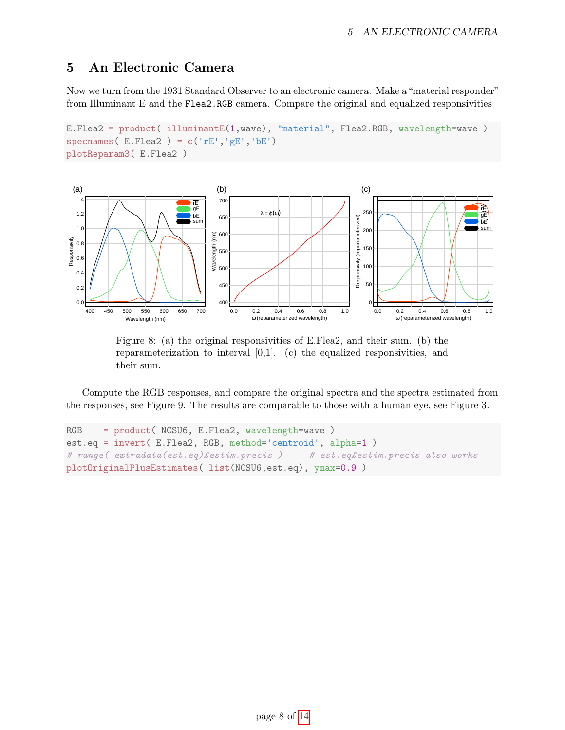## 5 An Electronic Camera

Now we turn from the 1931 Standard Observer to an electronic camera. Make a "material responder" from Illuminant E and the Flea2.RGB camera. Compare the original and equalized responsivities

```
E.Flea2 = product( illuminantE(1,wave), "material", Flea2.RGB, wavelength=wave )
specnames(E.Flea2) = c('rE', 'gE', 'bE')plotReparam3( E.Flea2 )
```


Figure 8: (a) the original responsivities of E.Flea2, and their sum. (b) the reparameterization to interval  $[0,1]$ . (c) the equalized responsivities, and their sum.

Compute the RGB responses, and compare the original spectra and the spectra estimated from the responses, see Figure 9. The results are comparable to those with a human eye, see Figure 3.

```
RGB = product( NCSU6, E.Flea2, wavelength=wave )
est.eq = invert( E.Flea2, RGB, method='centroid', alpha=1 )
# range( extradata(est.eq)festim.precis ) # est.eqfestim.precis also works
plotOriginalPlusEstimates( list(NCSU6,est.eq), ymax=0.9 )
```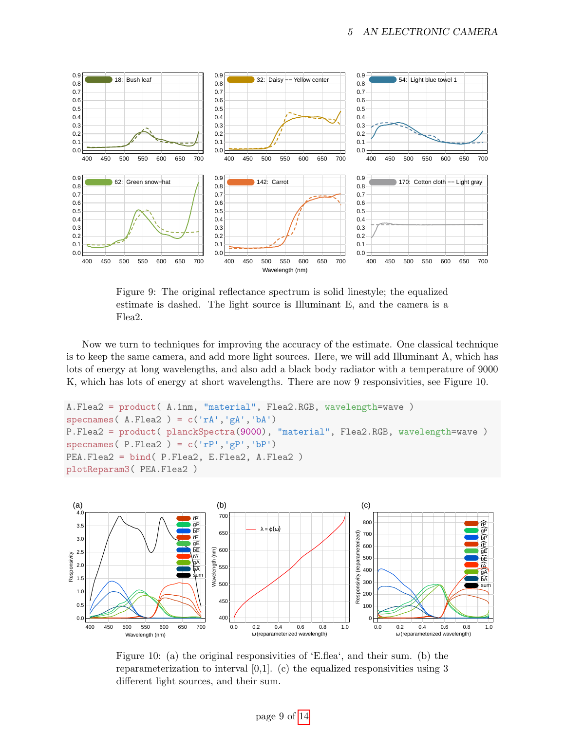

Figure 9: The original reflectance spectrum is solid linestyle; the equalized estimate is dashed. The light source is Illuminant E, and the camera is a Flea2.

Now we turn to techniques for improving the accuracy of the estimate. One classical technique is to keep the same camera, and add more light sources. Here, we will add Illuminant A, which has lots of energy at long wavelengths, and also add a black body radiator with a temperature of 9000 K, which has lots of energy at short wavelengths. There are now 9 responsivities, see Figure 10.

```
A.Flea2 = product( A.1nm, "material", Flea2.RGB, wavelength=wave )
specnames(A.Flea2) = c('rA','gA','bA')
P.Flea2 = product( planckSpectra(9000), "material", Flea2.RGB, wavelength=wave )
specnames(P.Flea2) = c('rP', 'gP', 'bP')PEA.Flea2 = bind( P.Flea2, E.Flea2, A.Flea2 )
plotReparam3( PEA.Flea2 )
```


Figure 10: (a) the original responsivities of 'E.flea', and their sum. (b) the reparameterization to interval  $[0,1]$ . (c) the equalized responsivities using 3 different light sources, and their sum.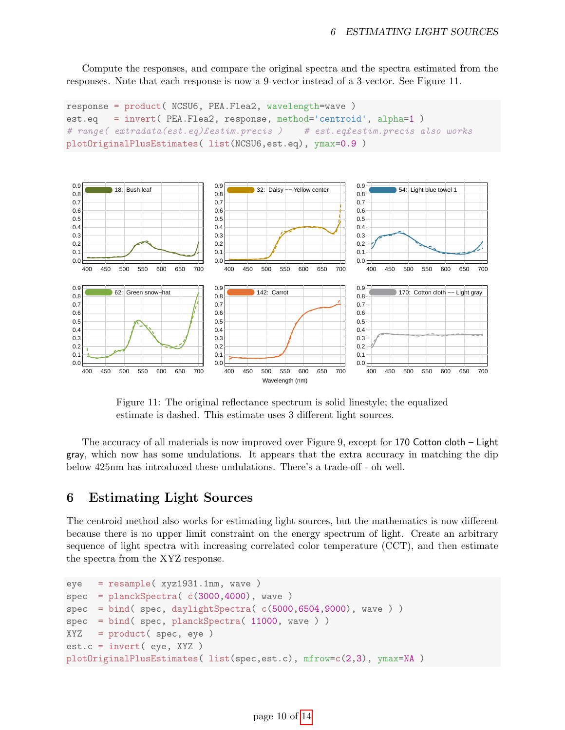Compute the responses, and compare the original spectra and the spectra estimated from the responses. Note that each response is now a 9-vector instead of a 3-vector. See Figure 11.

```
response = product( NCSU6, PEA.Flea2, wavelength=wave )
est.eq = invert( PEA.Flea2, response, method='centroid', alpha=1 )
# range( extradata(est.eq)£estim.precis ) # est.eq£estim.precis also works
plotOriginalPlusEstimates( list(NCSU6,est.eq), ymax=0.9 )
```


Figure 11: The original reflectance spectrum is solid linestyle; the equalized estimate is dashed. This estimate uses 3 different light sources.

The accuracy of all materials is now improved over Figure 9, except for 170 Cotton cloth – Light gray, which now has some undulations. It appears that the extra accuracy in matching the dip below 425nm has introduced these undulations. There's a trade-off - oh well.

#### 6 Estimating Light Sources

The centroid method also works for estimating light sources, but the mathematics is now different because there is no upper limit constraint on the energy spectrum of light. Create an arbitrary sequence of light spectra with increasing correlated color temperature (CCT), and then estimate the spectra from the XYZ response.

```
eye = resample( xyz1931.1nm, wave )
spec = planckSpectra( c(3000, 4000), wave )spec = bind( spec, daylightSpectra( c(5000, 6504, 9000), wave )spec = bind( spec, planckSpectra( 11000, wave ) )
XYZ = product( spec, eye )
est.c = invert( eye, XYZ )
plotOriginalPlusEstimates( list(spec,est.c), mfrow=c(2,3), ymax=NA )
```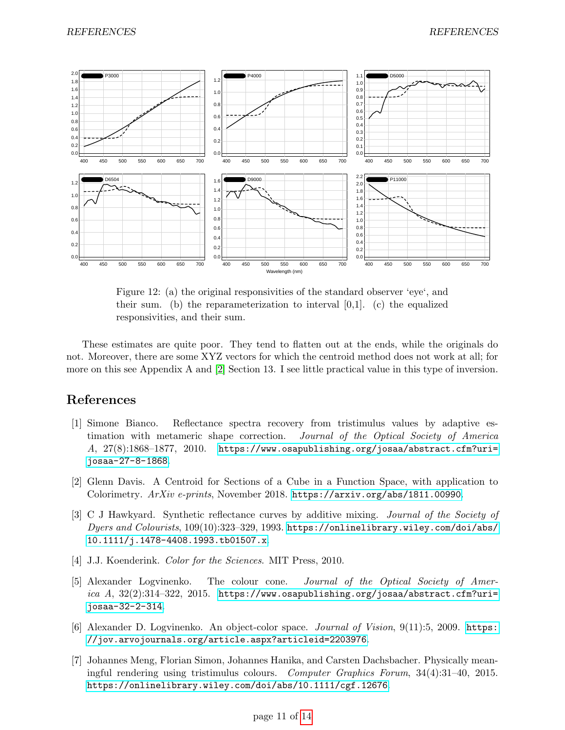

Figure 12: (a) the original responsivities of the standard observer 'eye', and their sum. (b) the reparameterization to interval  $[0,1]$ . (c) the equalized responsivities, and their sum.

These estimates are quite poor. They tend to flatten out at the ends, while the originals do not. Moreover, there are some XYZ vectors for which the centroid method does not work at all; for more on this see Appendix A and [\[2\]](#page-10-2) Section 13. I see little practical value in this type of inversion.

#### References

- <span id="page-10-1"></span>[1] Simone Bianco. Reflectance spectra recovery from tristimulus values by adaptive estimation with metameric shape correction. Journal of the Optical Society of America A,  $27(8):1868-1877$ ,  $2010$ . [https://www.osapublishing.org/josaa/abstract.cfm?uri=](https://www.osapublishing.org/josaa/abstract.cfm?uri=josaa-27-8-1868) [josaa-27-8-1868](https://www.osapublishing.org/josaa/abstract.cfm?uri=josaa-27-8-1868).
- <span id="page-10-2"></span>[2] Glenn Davis. A Centroid for Sections of a Cube in a Function Space, with application to Colorimetry. ArXiv e-prints, November 2018. <https://arxiv.org/abs/1811.00990>.
- <span id="page-10-3"></span>[3] C J Hawkyard. Synthetic reflectance curves by additive mixing. Journal of the Society of Dyers and Colourists, 109(10):323–329, 1993. [https://onlinelibrary.wiley.com/doi/abs/](https://onlinelibrary.wiley.com/doi/abs/10.1111/j.1478-4408.1993.tb01507.x) [10.1111/j.1478-4408.1993.tb01507.x](https://onlinelibrary.wiley.com/doi/abs/10.1111/j.1478-4408.1993.tb01507.x).
- <span id="page-10-0"></span>[4] J.J. Koenderink. *Color for the Sciences*. MIT Press, 2010.
- <span id="page-10-5"></span>[5] Alexander Logvinenko. The colour cone. Journal of the Optical Society of America  $A$ ,  $32(2):314-322$ ,  $2015$ . [https://www.osapublishing.org/josaa/abstract.cfm?uri=](https://www.osapublishing.org/josaa/abstract.cfm?uri=josaa-32-2-314) [josaa-32-2-314](https://www.osapublishing.org/josaa/abstract.cfm?uri=josaa-32-2-314).
- <span id="page-10-4"></span>[6] Alexander D. Logvinenko. An object-color space. Journal of Vision, 9(11):5, 2009. [https:](https://jov.arvojournals.org/article.aspx?articleid=2203976) [//jov.arvojournals.org/article.aspx?articleid=2203976](https://jov.arvojournals.org/article.aspx?articleid=2203976).
- <span id="page-10-6"></span>[7] Johannes Meng, Florian Simon, Johannes Hanika, and Carsten Dachsbacher. Physically meaningful rendering using tristimulus colours. Computer Graphics Forum, 34(4):31–40, 2015. <https://onlinelibrary.wiley.com/doi/abs/10.1111/cgf.12676>.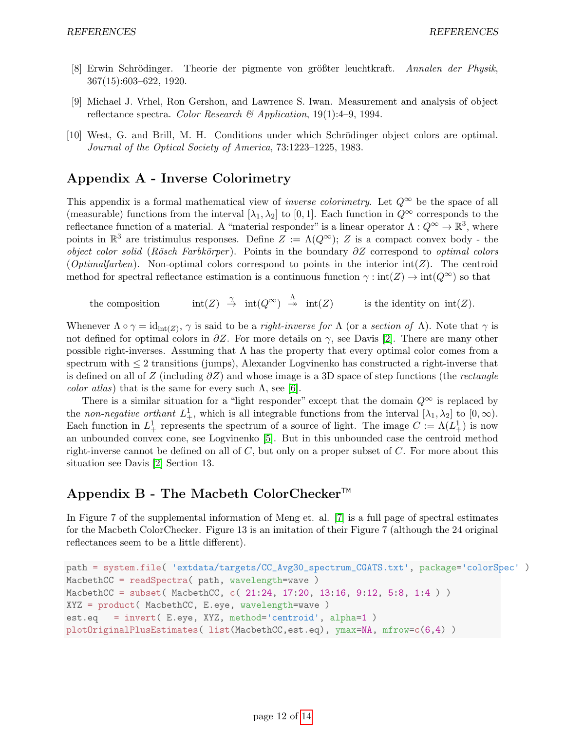- <span id="page-11-2"></span>[8] Erwin Schrödinger. Theorie der pigmente von größter leuchtkraft. Annalen der Physik, 367(15):603–622, 1920.
- <span id="page-11-0"></span>[9] Michael J. Vrhel, Ron Gershon, and Lawrence S. Iwan. Measurement and analysis of object reflectance spectra. Color Research & Application,  $19(1):4-9$ , 1994.
- <span id="page-11-1"></span>[10] West, G. and Brill, M. H. Conditions under which Schrödinger object colors are optimal. Journal of the Optical Society of America, 73:1223–1225, 1983.

## Appendix A - Inverse Colorimetry

This appendix is a formal mathematical view of *inverse colorimetry*. Let  $Q^{\infty}$  be the space of all (measurable) functions from the interval  $[\lambda_1, \lambda_2]$  to [0, 1]. Each function in  $Q^{\infty}$  corresponds to the reflectance function of a material. A "material responder" is a linear operator  $\Lambda: Q^{\infty} \to \mathbb{R}^3$ , where points in  $\mathbb{R}^3$  are tristimulus responses. Define  $Z := \Lambda(Q^{\infty}); Z$  is a compact convex body - the object color solid (Rösch Farbkörper). Points in the boundary  $\partial Z$  correspond to optimal colors (*Optimalfarben*). Non-optimal colors correspond to points in the interior int(*Z*). The centroid method for spectral reflectance estimation is a continuous function  $\gamma : \text{int}(Z) \to \text{int}(Q^{\infty})$  so that

the composition  $\stackrel{\gamma}{\to} \text{int}(Q^{\infty})$ is the identity on  $\text{int}(Z)$ .

Whenever  $\Lambda \circ \gamma = \mathrm{id}_{\mathrm{int}(Z)}$ ,  $\gamma$  is said to be a *right-inverse for*  $\Lambda$  (or a *section of*  $\Lambda$ ). Note that  $\gamma$  is not defined for optimal colors in  $\partial Z$ . For more details on  $\gamma$ , see Davis [\[2\]](#page-10-2). There are many other possible right-inverses. Assuming that  $\Lambda$  has the property that every optimal color comes from a spectrum with  $\leq 2$  transitions (jumps), Alexander Logvinenko has constructed a right-inverse that is defined on all of Z (including  $\partial Z$ ) and whose image is a 3D space of step functions (the *rectangle color atlas*) that is the same for every such  $\Lambda$ , see [\[6\]](#page-10-4).

There is a similar situation for a "light responder" except that the domain  $Q^{\infty}$  is replaced by the non-negative orthant  $L^1_+$ , which is all integrable functions from the interval  $[\lambda_1, \lambda_2]$  to  $[0, \infty)$ . Each function in  $L^1_+$  represents the spectrum of a source of light. The image  $C := \Lambda(L^1_+)$  is now an unbounded convex cone, see Logvinenko [\[5\]](#page-10-5). But in this unbounded case the centroid method right-inverse cannot be defined on all of  $C$ , but only on a proper subset of  $C$ . For more about this situation see Davis [\[2\]](#page-10-2) Section 13.

## Appendix B - The Macbeth ColorChecker™

In Figure 7 of the supplemental information of Meng et. al. [\[7\]](#page-10-6) is a full page of spectral estimates for the Macbeth ColorChecker. Figure 13 is an imitation of their Figure 7 (although the 24 original reflectances seem to be a little different).

```
path = system.file( 'extdata/targets/CC_Avg30_spectrum_CGATS.txt', package='colorSpec' )
MacbethCC = readSpectra( path, wavelength=wave )
MacbethCC = subset( MacbethCC, c( 21:24, 17:20, 13:16, 9:12, 5:8, 1:4 ) )
XYZ = product( MacbethCC, E.eye, wavelength=wave )
est.eq = invert( E.eye, XYZ, method='centroid', alpha=1 )
plotOriginalPlusEstimates( list(MacbethCC,est.eq), ymax=NA, mfrow=c(6,4) )
```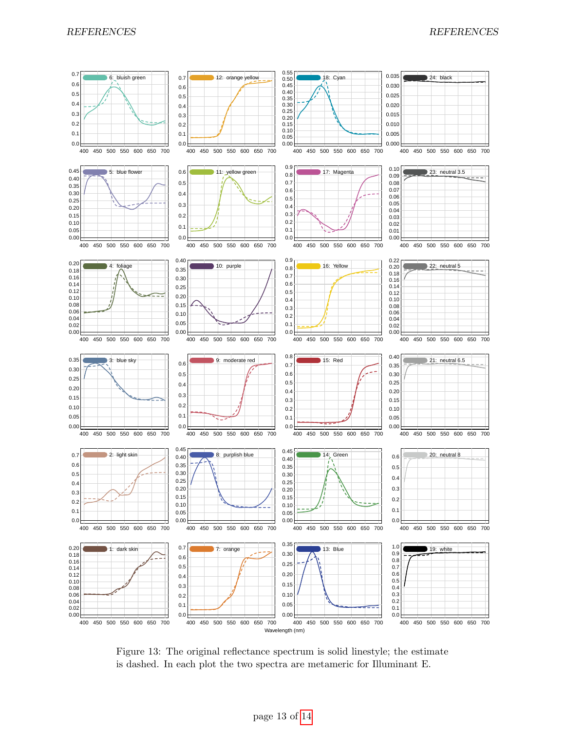

Figure 13: The original reflectance spectrum is solid linestyle; the estimate is dashed. In each plot the two spectra are metameric for Illuminant E.